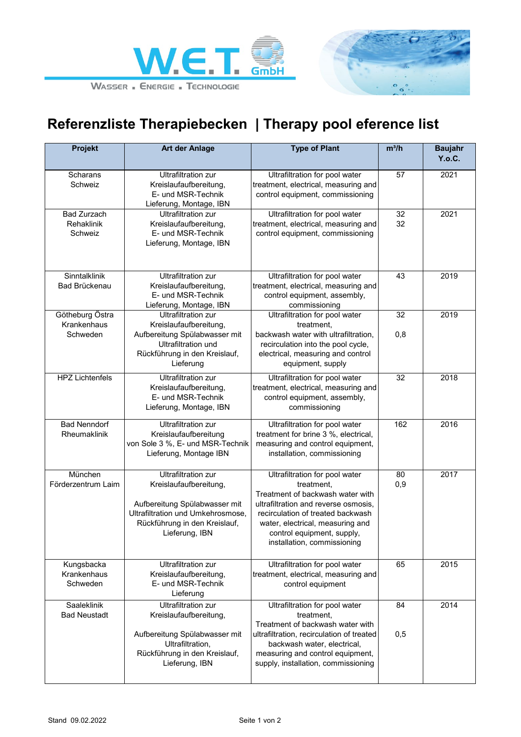



## **Referenzliste Therapiebecken | Therapy pool eference list**

| <b>Projekt</b>                              | <b>Art der Anlage</b>                                                                                                                                                         | <b>Type of Plant</b>                                                                                                                                                                                                                                           | $m^3/h$   | <b>Baujahr</b><br>Y.o.C. |
|---------------------------------------------|-------------------------------------------------------------------------------------------------------------------------------------------------------------------------------|----------------------------------------------------------------------------------------------------------------------------------------------------------------------------------------------------------------------------------------------------------------|-----------|--------------------------|
| Scharans<br>Schweiz                         | <b>Ultrafiltration zur</b><br>Kreislaufaufbereitung,<br>E- und MSR-Technik<br>Lieferung, Montage, IBN                                                                         | Ultrafiltration for pool water<br>treatment, electrical, measuring and<br>control equipment, commissioning                                                                                                                                                     | 57        | 2021                     |
| <b>Bad Zurzach</b><br>Rehaklinik<br>Schweiz | Ultrafiltration zur<br>Kreislaufaufbereitung,<br>E- und MSR-Technik<br>Lieferung, Montage, IBN                                                                                | Ultrafiltration for pool water<br>treatment, electrical, measuring and<br>control equipment, commissioning                                                                                                                                                     | 32<br>32  | 2021                     |
| Sinntalklinik<br>Bad Brückenau              | <b>Ultrafiltration zur</b><br>Kreislaufaufbereitung,<br>E- und MSR-Technik<br>Lieferung, Montage, IBN                                                                         | Ultrafiltration for pool water<br>treatment, electrical, measuring and<br>control equipment, assembly,<br>commissioning                                                                                                                                        | 43        | 2019                     |
| Götheburg Östra<br>Krankenhaus<br>Schweden  | <b>Ultrafiltration zur</b><br>Kreislaufaufbereitung,<br>Aufbereitung Spülabwasser mit<br>Ultrafiltration und<br>Rückführung in den Kreislauf,<br>Lieferung                    | Ultrafiltration for pool water<br>treatment,<br>backwash water with ultrafiltration,<br>recirculation into the pool cycle,<br>electrical, measuring and control<br>equipment, supply                                                                           | 32<br>0,8 | 2019                     |
| <b>HPZ Lichtenfels</b>                      | <b>Ultrafiltration zur</b><br>Kreislaufaufbereitung,<br>E- und MSR-Technik<br>Lieferung, Montage, IBN                                                                         | Ultrafiltration for pool water<br>treatment, electrical, measuring and<br>control equipment, assembly,<br>commissioning                                                                                                                                        | 32        | 2018                     |
| <b>Bad Nenndorf</b><br>Rheumaklinik         | <b>Ultrafiltration zur</b><br>Kreislaufaufbereitung<br>von Sole 3 %, E- und MSR-Technik<br>Lieferung, Montage IBN                                                             | Ultrafiltration for pool water<br>treatment for brine 3 %, electrical,<br>measuring and control equipment,<br>installation, commissioning                                                                                                                      | 162       | 2016                     |
| München<br>Förderzentrum Laim               | <b>Ultrafiltration zur</b><br>Kreislaufaufbereitung,<br>Aufbereitung Spülabwasser mit<br>Ultrafiltration und Umkehrosmose,<br>Rückführung in den Kreislauf,<br>Lieferung, IBN | Ultrafiltration for pool water<br>treatment,<br>Treatment of backwash water with<br>ultrafiltration and reverse osmosis,<br>recirculation of treated backwash<br>water, electrical, measuring and<br>control equipment, supply,<br>installation, commissioning | 80<br>0,9 | 2017                     |
| Kungsbacka<br>Krankenhaus<br>Schweden       | Ultrafiltration zur<br>Kreislaufaufbereitung,<br>E- und MSR-Technik<br>Lieferung                                                                                              | Ultrafiltration for pool water<br>treatment, electrical, measuring and<br>control equipment                                                                                                                                                                    | 65        | 2015                     |
| Saaleklinik<br><b>Bad Neustadt</b>          | <b>Ultrafiltration zur</b><br>Kreislaufaufbereitung,<br>Aufbereitung Spülabwasser mit<br>Ultrafiltration,<br>Rückführung in den Kreislauf,<br>Lieferung, IBN                  | Ultrafiltration for pool water<br>treatment,<br>Treatment of backwash water with<br>ultrafiltration, recirculation of treated<br>backwash water, electrical,<br>measuring and control equipment,<br>supply, installation, commissioning                        | 84<br>0,5 | 2014                     |